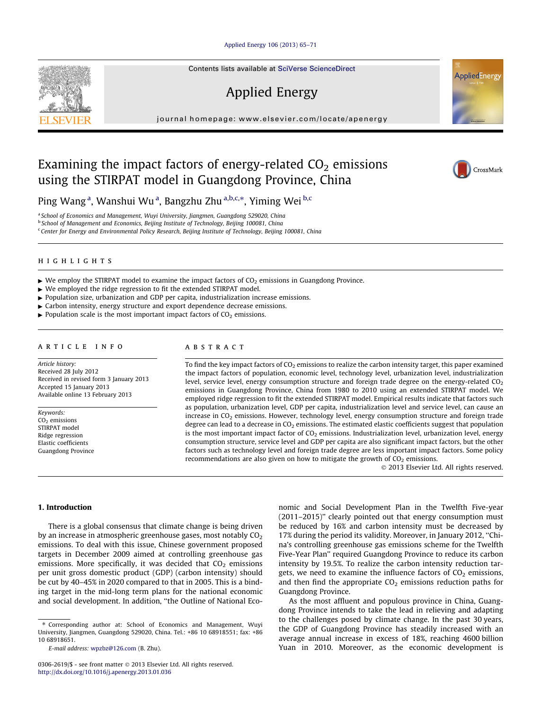#### [Applied Energy 106 \(2013\) 65–71](http://dx.doi.org/10.1016/j.apenergy.2013.01.036)

Contents lists available at [SciVerse ScienceDirect](http://www.sciencedirect.com/science/journal/03062619)

## Applied Energy

journal homepage: [www.elsevier.com/locate/apenergy](http://www.elsevier.com/locate/apenergy)

### Examining the impact factors of energy-related  $CO<sub>2</sub>$  emissions using the STIRPAT model in Guangdong Province, China

Ping Wang<sup>a</sup>, Wanshui Wu<sup>a</sup>, Bangzhu Zhu<sup>a,b,c,\*</sup>, Yiming Wei<sup>b,c</sup>

<sup>a</sup> School of Economics and Management, Wuyi University, Jiangmen, Guangdong 529020, China

<sup>b</sup> School of Management and Economics, Beijing Institute of Technology, Beijing 100081, China

<sup>c</sup> Center for Energy and Environmental Policy Research, Beijing Institute of Technology, Beijing 100081, China

#### highlights

 $\triangleright$  We employ the STIRPAT model to examine the impact factors of CO<sub>2</sub> emissions in Guangdong Province.

- $\triangleright$  We employed the ridge regression to fit the extended STIRPAT model.
- " Population size, urbanization and GDP per capita, industrialization increase emissions.
- $\blacktriangleright$  Carbon intensity, energy structure and export dependence decrease emissions.
- $\triangleright$  Population scale is the most important impact factors of CO<sub>2</sub> emissions.

#### article info

Article history: Received 28 July 2012 Received in revised form 3 January 2013 Accepted 15 January 2013 Available online 13 February 2013

Keywords:  $CO<sub>2</sub>$  emissions STIRPAT model Ridge regression Elastic coefficients Guangdong Province

#### **ABSTRACT**

To find the key impact factors of  $CO<sub>2</sub>$  emissions to realize the carbon intensity target, this paper examined the impact factors of population, economic level, technology level, urbanization level, industrialization level, service level, energy consumption structure and foreign trade degree on the energy-related  $CO<sub>2</sub>$ emissions in Guangdong Province, China from 1980 to 2010 using an extended STIRPAT model. We employed ridge regression to fit the extended STIRPAT model. Empirical results indicate that factors such as population, urbanization level, GDP per capita, industrialization level and service level, can cause an increase in  $CO<sub>2</sub>$  emissions. However, technology level, energy consumption structure and foreign trade degree can lead to a decrease in  $CO<sub>2</sub>$  emissions. The estimated elastic coefficients suggest that population is the most important impact factor of  $CO<sub>2</sub>$  emissions. Industrialization level, urbanization level, energy consumption structure, service level and GDP per capita are also significant impact factors, but the other factors such as technology level and foreign trade degree are less important impact factors. Some policy recommendations are also given on how to mitigate the growth of  $CO<sub>2</sub>$  emissions.

- 2013 Elsevier Ltd. All rights reserved.

#### 1. Introduction

There is a global consensus that climate change is being driven by an increase in atmospheric greenhouse gases, most notably  $CO<sub>2</sub>$ emissions. To deal with this issue, Chinese government proposed targets in December 2009 aimed at controlling greenhouse gas emissions. More specifically, it was decided that  $CO<sub>2</sub>$  emissions per unit gross domestic product (GDP) (carbon intensity) should be cut by 40–45% in 2020 compared to that in 2005. This is a binding target in the mid-long term plans for the national economic and social development. In addition, ''the Outline of National Eco-

⇑ Corresponding author at: School of Economics and Management, Wuyi University, Jiangmen, Guangdong 529020, China. Tel.: +86 10 68918551; fax: +86 10 68918651.

nomic and Social Development Plan in the Twelfth Five-year (2011–2015)'' clearly pointed out that energy consumption must be reduced by 16% and carbon intensity must be decreased by 17% during the period its validity. Moreover, in January 2012, ''China's controlling greenhouse gas emissions scheme for the Twelfth Five-Year Plan'' required Guangdong Province to reduce its carbon intensity by 19.5%. To realize the carbon intensity reduction targets, we need to examine the influence factors of  $CO<sub>2</sub>$  emissions, and then find the appropriate  $CO<sub>2</sub>$  emissions reduction paths for Guangdong Province.

As the most affluent and populous province in China, Guangdong Province intends to take the lead in relieving and adapting to the challenges posed by climate change. In the past 30 years, the GDP of Guangdong Province has steadily increased with an average annual increase in excess of 18%, reaching 4600 billion Yuan in 2010. Moreover, as the economic development is







E-mail address: [wpzbz@126.com](mailto:wpzbz@126.com) (B. Zhu).

<sup>0306-2619/\$ -</sup> see front matter © 2013 Elsevier Ltd. All rights reserved. <http://dx.doi.org/10.1016/j.apenergy.2013.01.036>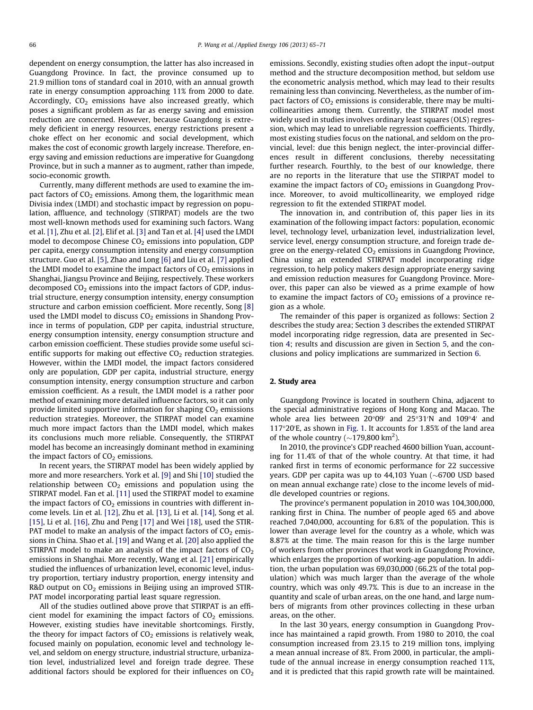dependent on energy consumption, the latter has also increased in Guangdong Province. In fact, the province consumed up to 21.9 million tons of standard coal in 2010, with an annual growth rate in energy consumption approaching 11% from 2000 to date. Accordingly,  $CO<sub>2</sub>$  emissions have also increased greatly, which poses a significant problem as far as energy saving and emission reduction are concerned. However, because Guangdong is extremely deficient in energy resources, energy restrictions present a choke effect on her economic and social development, which makes the cost of economic growth largely increase. Therefore, energy saving and emission reductions are imperative for Guangdong Province, but in such a manner as to augment, rather than impede, socio-economic growth.

Currently, many different methods are used to examine the impact factors of  $CO<sub>2</sub>$  emissions. Among them, the logarithmic mean Divisia index (LMDI) and stochastic impact by regression on population, affluence, and technology (STIRPAT) models are the two most well-known methods used for examining such factors. Wang et al. [\[1\]](#page--1-0), Zhu et al. [\[2\]](#page--1-0), Elif et al. [\[3\]](#page--1-0) and Tan et al. [\[4\]](#page--1-0) used the LMDI model to decompose Chinese  $CO<sub>2</sub>$  emissions into population, GDP per capita, energy consumption intensity and energy consumption structure. Guo et al. [\[5\],](#page--1-0) Zhao and Long [\[6\]](#page--1-0) and Liu et al. [\[7\]](#page--1-0) applied the LMDI model to examine the impact factors of  $CO<sub>2</sub>$  emissions in Shanghai, Jiangsu Province and Beijing, respectively. These workers decomposed  $CO<sub>2</sub>$  emissions into the impact factors of GDP, industrial structure, energy consumption intensity, energy consumption structure and carbon emission coefficient. More recently, Song [\[8\]](#page--1-0) used the LMDI model to discuss  $CO<sub>2</sub>$  emissions in Shandong Province in terms of population, GDP per capita, industrial structure, energy consumption intensity, energy consumption structure and carbon emission coefficient. These studies provide some useful scientific supports for making out effective  $CO<sub>2</sub>$  reduction strategies. However, within the LMDI model, the impact factors considered only are population, GDP per capita, industrial structure, energy consumption intensity, energy consumption structure and carbon emission coefficient. As a result, the LMDI model is a rather poor method of examining more detailed influence factors, so it can only provide limited supportive information for shaping  $CO<sub>2</sub>$  emissions reduction strategies. Moreover, the STIRPAT model can examine much more impact factors than the LMDI model, which makes its conclusions much more reliable. Consequently, the STIRPAT model has become an increasingly dominant method in examining the impact factors of  $CO<sub>2</sub>$  emissions.

In recent years, the STIRPAT model has been widely applied by more and more researchers. York et al. [\[9\]](#page--1-0) and Shi [\[10\]](#page--1-0) studied the relationship between  $CO<sub>2</sub>$  emissions and population using the STIRPAT model. Fan et al. [\[11\]](#page--1-0) used the STIRPAT model to examine the impact factors of  $CO<sub>2</sub>$  emissions in countries with different income levels. Lin et al. [\[12\]](#page--1-0), Zhu et al. [\[13\]](#page--1-0), Li et al. [\[14\]](#page--1-0), Song et al. [\[15\]](#page--1-0), Li et al. [\[16\]](#page--1-0), Zhu and Peng [\[17\]](#page--1-0) and Wei [\[18\],](#page--1-0) used the STIR-PAT model to make an analysis of the impact factors of  $CO<sub>2</sub>$  emissions in China. Shao et al. [\[19\]](#page--1-0) and Wang et al. [\[20\]](#page--1-0) also applied the STIRPAT model to make an analysis of the impact factors of  $CO<sub>2</sub>$ emissions in Shanghai. More recently, Wang et al. [\[21\]](#page--1-0) empirically studied the influences of urbanization level, economic level, industry proportion, tertiary industry proportion, energy intensity and R&D output on  $CO<sub>2</sub>$  emissions in Beijing using an improved STIR-PAT model incorporating partial least square regression.

All of the studies outlined above prove that STIRPAT is an efficient model for examining the impact factors of  $CO<sub>2</sub>$  emissions. However, existing studies have inevitable shortcomings. Firstly, the theory for impact factors of  $CO<sub>2</sub>$  emissions is relatively weak, focused mainly on population, economic level and technology level, and seldom on energy structure, industrial structure, urbanization level, industrialized level and foreign trade degree. These additional factors should be explored for their influences on  $CO<sub>2</sub>$ 

emissions. Secondly, existing studies often adopt the input–output method and the structure decomposition method, but seldom use the econometric analysis method, which may lead to their results remaining less than convincing. Nevertheless, as the number of impact factors of  $CO<sub>2</sub>$  emissions is considerable, there may be multicollinearities among them. Currently, the STIRPAT model most widely used in studies involves ordinary least squares (OLS) regression, which may lead to unreliable regression coefficients. Thirdly, most existing studies focus on the national, and seldom on the provincial, level: due this benign neglect, the inter-provincial differences result in different conclusions, thereby necessitating further research. Fourthly, to the best of our knowledge, there are no reports in the literature that use the STIRPAT model to examine the impact factors of  $CO<sub>2</sub>$  emissions in Guangdong Province. Moreover, to avoid multicollinearity, we employed ridge regression to fit the extended STIRPAT model.

The innovation in, and contribution of, this paper lies in its examination of the following impact factors: population, economic level, technology level, urbanization level, industrialization level, service level, energy consumption structure, and foreign trade degree on the energy-related  $CO<sub>2</sub>$  emissions in Guangdong Province, China using an extended STIRPAT model incorporating ridge regression, to help policy makers design appropriate energy saving and emission reduction measures for Guangdong Province. Moreover, this paper can also be viewed as a prime example of how to examine the impact factors of  $CO<sub>2</sub>$  emissions of a province region as a whole.

The remainder of this paper is organized as follows: Section 2 describes the study area; Section [3](#page--1-0) describes the extended STIRPAT model incorporating ridge regression, data are presented in Section [4](#page--1-0); results and discussion are given in Section [5,](#page--1-0) and the conclusions and policy implications are summarized in Section [6.](#page--1-0)

#### 2. Study area

Guangdong Province is located in southern China, adjacent to the special administrative regions of Hong Kong and Macao. The whole area lies between  $20^{\circ}09'$  and  $25^{\circ}31'$ N and  $109^{\circ}4'$  and 117°20'E, as shown in [Fig. 1.](#page--1-0) It accounts for 1.85% of the land area of the whole country ( $\sim$ 179,800 km<sup>2</sup>).

In 2010, the province's GDP reached 4600 billion Yuan, accounting for 11.4% of that of the whole country. At that time, it had ranked first in terms of economic performance for 22 successive years. GDP per capita was up to  $44,103$  Yuan ( $\sim$ 6700 USD based on mean annual exchange rate) close to the income levels of middle developed countries or regions.

The province's permanent population in 2010 was 104,300,000, ranking first in China. The number of people aged 65 and above reached 7,040,000, accounting for 6.8% of the population. This is lower than average level for the country as a whole, which was 8.87% at the time. The main reason for this is the large number of workers from other provinces that work in Guangdong Province, which enlarges the proportion of working-age population. In addition, the urban population was 69,030,000 (66.2% of the total population) which was much larger than the average of the whole country, which was only 49.7%. This is due to an increase in the quantity and scale of urban areas, on the one hand, and large numbers of migrants from other provinces collecting in these urban areas, on the other.

In the last 30 years, energy consumption in Guangdong Province has maintained a rapid growth. From 1980 to 2010, the coal consumption increased from 23.15 to 219 million tons, implying a mean annual increase of 8%. From 2000, in particular, the amplitude of the annual increase in energy consumption reached 11%, and it is predicted that this rapid growth rate will be maintained.